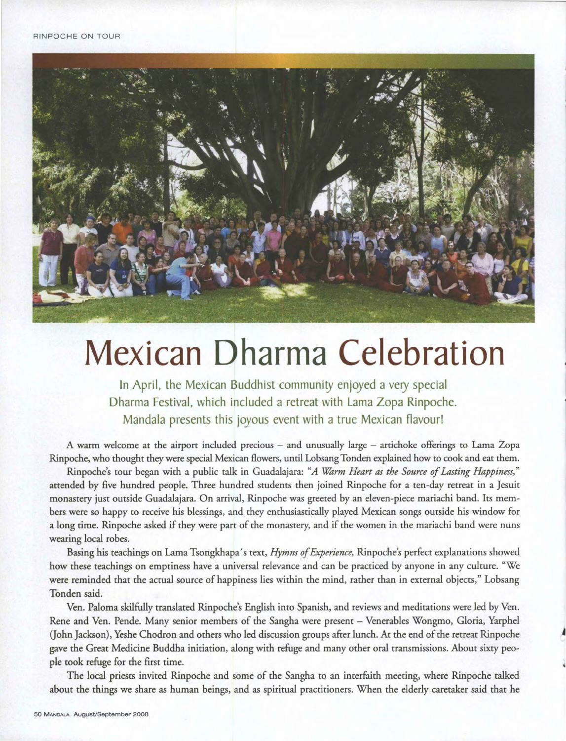

## **Mexican Dharma Celebration**

In April, the Mexican Buddhist community enjoyed a very special Dharma Festival, which included a retreat with Lama Zopa Rinpoche. Mandala presents this joyous event with a true Mexican flavour!

A warm welcome at the airport included precious — and unusually large — artichoke offerings to Lama Zopa Rinpoche, who thought they were special Mexican flowers, until Lobsang Tonden explained how to cook and eat them.

Rinpoche's tour began with a public talk in Guadalajara: *"A Warm Heart as the Source of Lasting Happiness,"*  attended by five hundred people. Three hundred students then joined Rinpoche for a ten-day retreat in a Jesuit monastery just outside Guadalajara. On arrival, Rinpoche was greeted by an eleven-piece mariachi band. Its members were so happy to receive his blessings, and they enthusiastically played Mexican songs outside his window for a long time. Rinpoche asked if they were part of the monastery, and if the women in the mariachi band were nuns wearing local robes.

Basing his teachings on Lama Tsongkhapa's text, *Hymns of Experience,* Rinpoche's perfect explanations showed how these teachings on emptiness have a universal relevance and can be practiced by anyone in any culture. "We were reminded that the actual source of happiness lies within the mind, rather than in external objects," Lobsang Tonden said.

Ven. Paloma skilfully translated Rinpoche's English into Spanish, and reviews and meditations were led by Ven. Rene and Ven. Pende. Many senior members of the Sangha were present — Venerables Wongmo, Gloria, Yarphel (John Jackson), Yeshe Chodron and others who led discussion groups after lunch. At the end of the retreat Rinpoche gave the Great Medicine Buddha initiation, along with refuge and many other oral transmissions. About sixty people took refuge for the first time.

The local priests invited Rinpoche and some of the Sangha to an interfaith meeting, where Rinpoche talked about the things we share as human beings, and as spiritual practitioners. When the elderly caretaker said that he